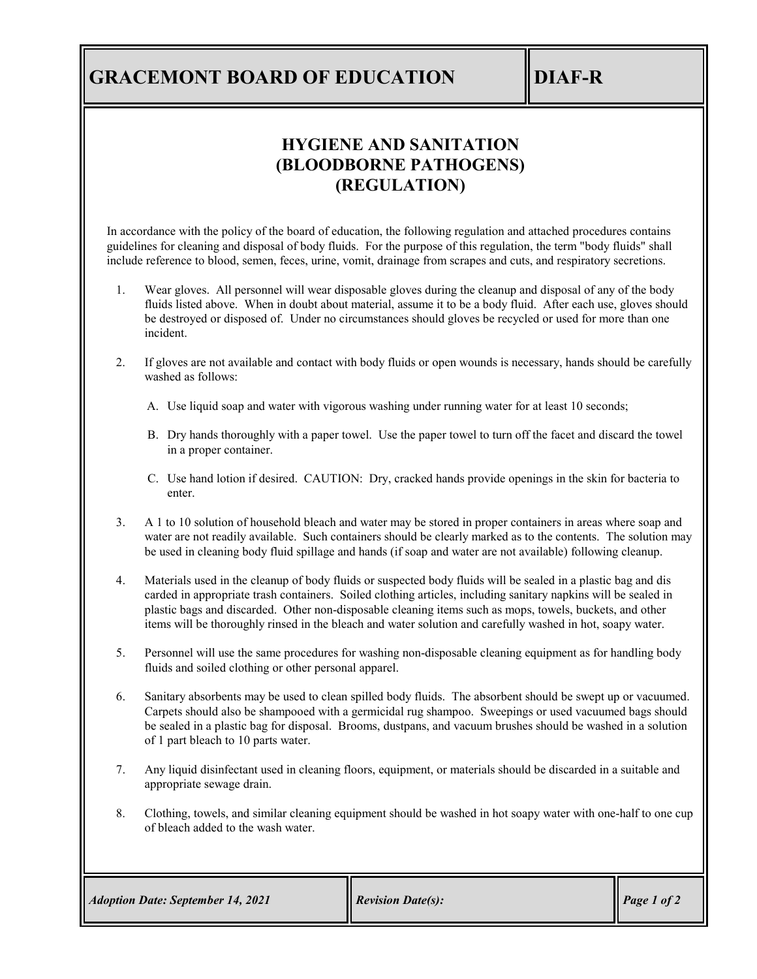## **GRACEMONT BOARD OF EDUCATION IDIAF-R**

## **HYGIENE AND SANITATION (BLOODBORNE PATHOGENS) (REGULATION)**

In accordance with the policy of the board of education, the following regulation and attached procedures contains guidelines for cleaning and disposal of body fluids. For the purpose of this regulation, the term "body fluids" shall include reference to blood, semen, feces, urine, vomit, drainage from scrapes and cuts, and respiratory secretions.

- 1. Wear gloves. All personnel will wear disposable gloves during the cleanup and disposal of any of the body fluids listed above. When in doubt about material, assume it to be a body fluid. After each use, gloves should be destroyed or disposed of. Under no circumstances should gloves be recycled or used for more than one incident.
- 2. If gloves are not available and contact with body fluids or open wounds is necessary, hands should be carefully washed as follows:
	- A. Use liquid soap and water with vigorous washing under running water for at least 10 seconds;
	- B. Dry hands thoroughly with a paper towel. Use the paper towel to turn off the facet and discard the towel in a proper container.
	- C. Use hand lotion if desired. CAUTION: Dry, cracked hands provide openings in the skin for bacteria to enter.
- 3. A 1 to 10 solution of household bleach and water may be stored in proper containers in areas where soap and water are not readily available. Such containers should be clearly marked as to the contents. The solution may be used in cleaning body fluid spillage and hands (if soap and water are not available) following cleanup.
- 4. Materials used in the cleanup of body fluids or suspected body fluids will be sealed in a plastic bag and dis carded in appropriate trash containers. Soiled clothing articles, including sanitary napkins will be sealed in plastic bags and discarded. Other non-disposable cleaning items such as mops, towels, buckets, and other items will be thoroughly rinsed in the bleach and water solution and carefully washed in hot, soapy water.
- 5. Personnel will use the same procedures for washing non-disposable cleaning equipment as for handling body fluids and soiled clothing or other personal apparel.
- 6. Sanitary absorbents may be used to clean spilled body fluids. The absorbent should be swept up or vacuumed. Carpets should also be shampooed with a germicidal rug shampoo. Sweepings or used vacuumed bags should be sealed in a plastic bag for disposal. Brooms, dustpans, and vacuum brushes should be washed in a solution of 1 part bleach to 10 parts water.
- 7. Any liquid disinfectant used in cleaning floors, equipment, or materials should be discarded in a suitable and appropriate sewage drain.
- 8. Clothing, towels, and similar cleaning equipment should be washed in hot soapy water with one-half to one cup of bleach added to the wash water.